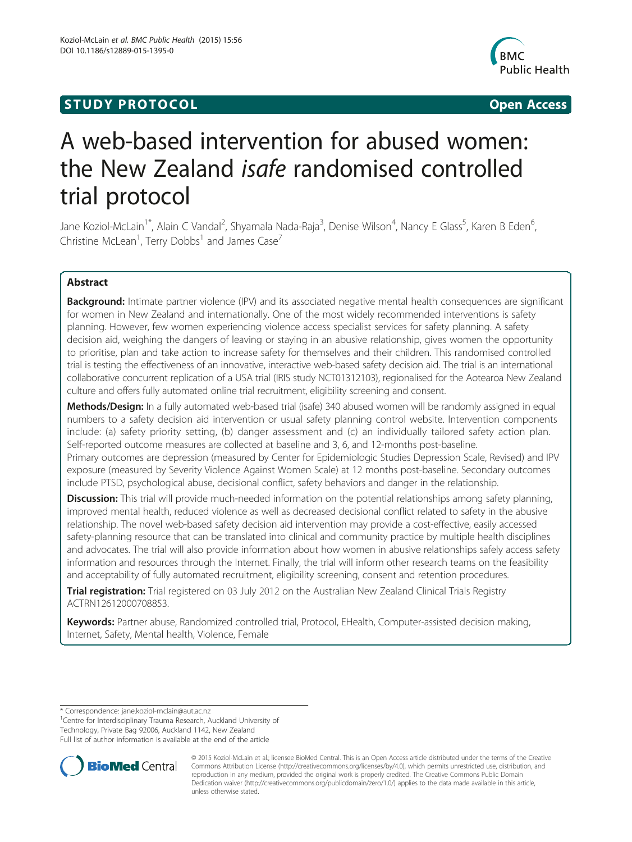# **STUDY PROTOCOL CONSUMING THE STUDY PROTOCOL**



# A web-based intervention for abused women: the New Zealand isafe randomised controlled trial protocol

Jane Koziol-McLain<sup>1\*</sup>, Alain C Vandal<sup>2</sup>, Shyamala Nada-Raja<sup>3</sup>, Denise Wilson<sup>4</sup>, Nancy E Glass<sup>5</sup>, Karen B Eden<sup>6</sup> , Christine McLean<sup>1</sup>, Terry Dobbs<sup>1</sup> and James Case<sup>7</sup>

# Abstract

**Background:** Intimate partner violence (IPV) and its associated negative mental health consequences are significant for women in New Zealand and internationally. One of the most widely recommended interventions is safety planning. However, few women experiencing violence access specialist services for safety planning. A safety decision aid, weighing the dangers of leaving or staying in an abusive relationship, gives women the opportunity to prioritise, plan and take action to increase safety for themselves and their children. This randomised controlled trial is testing the effectiveness of an innovative, interactive web-based safety decision aid. The trial is an international collaborative concurrent replication of a USA trial (IRIS study NCT01312103), regionalised for the Aotearoa New Zealand culture and offers fully automated online trial recruitment, eligibility screening and consent.

Methods/Design: In a fully automated web-based trial (isafe) 340 abused women will be randomly assigned in equal numbers to a safety decision aid intervention or usual safety planning control website. Intervention components include: (a) safety priority setting, (b) danger assessment and (c) an individually tailored safety action plan. Self-reported outcome measures are collected at baseline and 3, 6, and 12-months post-baseline. Primary outcomes are depression (measured by Center for Epidemiologic Studies Depression Scale, Revised) and IPV exposure (measured by Severity Violence Against Women Scale) at 12 months post-baseline. Secondary outcomes include PTSD, psychological abuse, decisional conflict, safety behaviors and danger in the relationship.

**Discussion:** This trial will provide much-needed information on the potential relationships among safety planning, improved mental health, reduced violence as well as decreased decisional conflict related to safety in the abusive relationship. The novel web-based safety decision aid intervention may provide a cost-effective, easily accessed safety-planning resource that can be translated into clinical and community practice by multiple health disciplines and advocates. The trial will also provide information about how women in abusive relationships safely access safety information and resources through the Internet. Finally, the trial will inform other research teams on the feasibility and acceptability of fully automated recruitment, eligibility screening, consent and retention procedures.

Trial registration: Trial registered on 03 July 2012 on the Australian New Zealand Clinical Trials Registry [ACTRN12612000708853.](https://www.anzctr.org.au/Trial/Registration/TrialReview.aspx?ACTRN=12612000708853)

Keywords: Partner abuse, Randomized controlled trial, Protocol, EHealth, Computer-assisted decision making, Internet, Safety, Mental health, Violence, Female

\* Correspondence: [jane.koziol-mclain@aut.ac.nz](mailto:jane.koziol-mclain@aut.ac.nz) <sup>1</sup>

<sup>1</sup> Centre for Interdisciplinary Trauma Research, Auckland University of Technology, Private Bag 92006, Auckland 1142, New Zealand

Full list of author information is available at the end of the article



<sup>© 2015</sup> Koziol-McLain et al.; licensee BioMed Central. This is an Open Access article distributed under the terms of the Creative Commons Attribution License [\(http://creativecommons.org/licenses/by/4.0\)](http://creativecommons.org/licenses/by/4.0), which permits unrestricted use, distribution, and reproduction in any medium, provided the original work is properly credited. The Creative Commons Public Domain Dedication waiver [\(http://creativecommons.org/publicdomain/zero/1.0/](http://creativecommons.org/publicdomain/zero/1.0/)) applies to the data made available in this article, unless otherwise stated.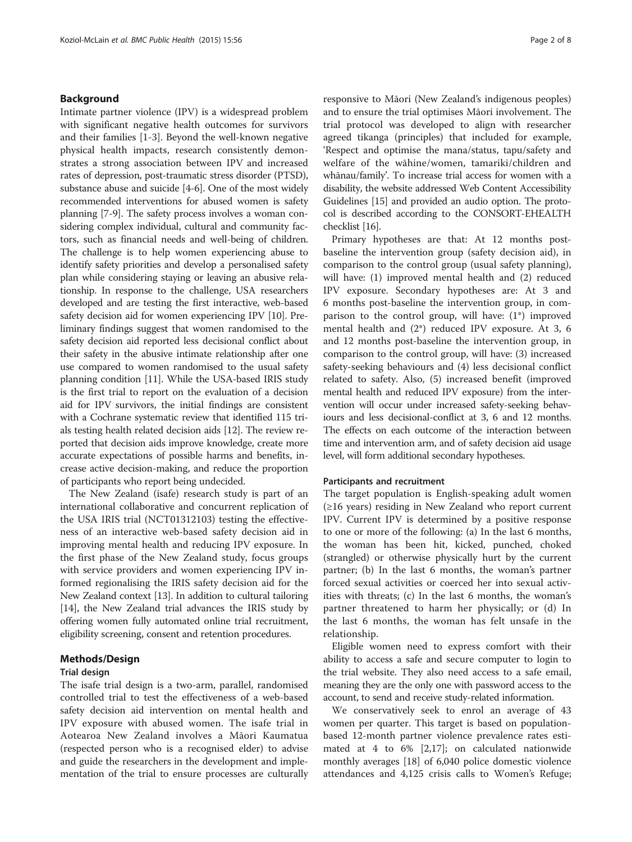## Background

Intimate partner violence (IPV) is a widespread problem with significant negative health outcomes for survivors and their families [[1-](#page-5-0)[3](#page-6-0)]. Beyond the well-known negative physical health impacts, research consistently demonstrates a strong association between IPV and increased rates of depression, post-traumatic stress disorder (PTSD), substance abuse and suicide [\[4-6](#page-6-0)]. One of the most widely recommended interventions for abused women is safety planning [[7-9\]](#page-6-0). The safety process involves a woman considering complex individual, cultural and community factors, such as financial needs and well-being of children. The challenge is to help women experiencing abuse to identify safety priorities and develop a personalised safety plan while considering staying or leaving an abusive relationship. In response to the challenge, USA researchers developed and are testing the first interactive, web-based safety decision aid for women experiencing IPV [[10](#page-6-0)]. Preliminary findings suggest that women randomised to the safety decision aid reported less decisional conflict about their safety in the abusive intimate relationship after one use compared to women randomised to the usual safety planning condition [\[11\]](#page-6-0). While the USA-based IRIS study is the first trial to report on the evaluation of a decision aid for IPV survivors, the initial findings are consistent with a Cochrane systematic review that identified 115 trials testing health related decision aids [\[12\]](#page-6-0). The review reported that decision aids improve knowledge, create more accurate expectations of possible harms and benefits, increase active decision-making, and reduce the proportion of participants who report being undecided.

The New Zealand (isafe) research study is part of an international collaborative and concurrent replication of the USA IRIS trial (NCT01312103) testing the effectiveness of an interactive web-based safety decision aid in improving mental health and reducing IPV exposure. In the first phase of the New Zealand study, focus groups with service providers and women experiencing IPV informed regionalising the IRIS safety decision aid for the New Zealand context [\[13\]](#page-6-0). In addition to cultural tailoring [[14](#page-6-0)], the New Zealand trial advances the IRIS study by offering women fully automated online trial recruitment, eligibility screening, consent and retention procedures.

#### Methods/Design

# Trial design

The isafe trial design is a two-arm, parallel, randomised controlled trial to test the effectiveness of a web-based safety decision aid intervention on mental health and IPV exposure with abused women. The isafe trial in Aotearoa New Zealand involves a Māori Kaumatua (respected person who is a recognised elder) to advise and guide the researchers in the development and implementation of the trial to ensure processes are culturally

responsive to Māori (New Zealand's indigenous peoples) and to ensure the trial optimises Māori involvement. The trial protocol was developed to align with researcher agreed tikanga (principles) that included for example, 'Respect and optimise the mana/status, tapu/safety and welfare of the wāhine/women, tamariki/children and whānau/family'. To increase trial access for women with a disability, the website addressed Web Content Accessibility Guidelines [\[15\]](#page-6-0) and provided an audio option. The protocol is described according to the CONSORT-EHEALTH checklist [[16](#page-6-0)].

Primary hypotheses are that: At 12 months postbaseline the intervention group (safety decision aid), in comparison to the control group (usual safety planning), will have: (1) improved mental health and (2) reduced IPV exposure. Secondary hypotheses are: At 3 and 6 months post-baseline the intervention group, in comparison to the control group, will have: (1\*) improved mental health and (2\*) reduced IPV exposure. At 3, 6 and 12 months post-baseline the intervention group, in comparison to the control group, will have: (3) increased safety-seeking behaviours and (4) less decisional conflict related to safety. Also, (5) increased benefit (improved mental health and reduced IPV exposure) from the intervention will occur under increased safety-seeking behaviours and less decisional-conflict at 3, 6 and 12 months. The effects on each outcome of the interaction between time and intervention arm, and of safety decision aid usage level, will form additional secondary hypotheses.

#### Participants and recruitment

The target population is English-speaking adult women (≥16 years) residing in New Zealand who report current IPV. Current IPV is determined by a positive response to one or more of the following: (a) In the last 6 months, the woman has been hit, kicked, punched, choked (strangled) or otherwise physically hurt by the current partner; (b) In the last 6 months, the woman's partner forced sexual activities or coerced her into sexual activities with threats; (c) In the last 6 months, the woman's partner threatened to harm her physically; or (d) In the last 6 months, the woman has felt unsafe in the relationship.

Eligible women need to express comfort with their ability to access a safe and secure computer to login to the trial website. They also need access to a safe email, meaning they are the only one with password access to the account, to send and receive study-related information.

We conservatively seek to enrol an average of 43 women per quarter. This target is based on populationbased 12-month partner violence prevalence rates estimated at 4 to 6% [[2,](#page-5-0)[17\]](#page-6-0); on calculated nationwide monthly averages [\[18](#page-6-0)] of 6,040 police domestic violence attendances and 4,125 crisis calls to Women's Refuge;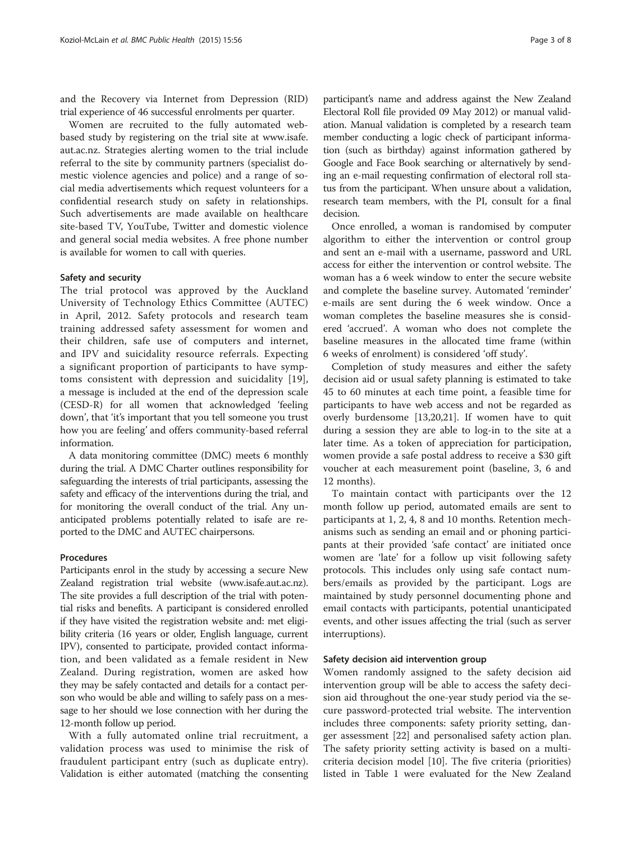and the Recovery via Internet from Depression (RID) trial experience of 46 successful enrolments per quarter.

Women are recruited to the fully automated webbased study by registering on the trial site at [www.isafe.](http://www.isafe.aut.ac.nz) [aut.ac.nz](http://www.isafe.aut.ac.nz). Strategies alerting women to the trial include referral to the site by community partners (specialist domestic violence agencies and police) and a range of social media advertisements which request volunteers for a confidential research study on safety in relationships. Such advertisements are made available on healthcare site-based TV, YouTube, Twitter and domestic violence and general social media websites. A free phone number is available for women to call with queries.

#### Safety and security

The trial protocol was approved by the Auckland University of Technology Ethics Committee (AUTEC) in April, 2012. Safety protocols and research team training addressed safety assessment for women and their children, safe use of computers and internet, and IPV and suicidality resource referrals. Expecting a significant proportion of participants to have symptoms consistent with depression and suicidality [[19](#page-6-0)], a message is included at the end of the depression scale (CESD-R) for all women that acknowledged 'feeling down', that 'it's important that you tell someone you trust how you are feeling' and offers community-based referral information.

A data monitoring committee (DMC) meets 6 monthly during the trial. A DMC Charter outlines responsibility for safeguarding the interests of trial participants, assessing the safety and efficacy of the interventions during the trial, and for monitoring the overall conduct of the trial. Any unanticipated problems potentially related to isafe are reported to the DMC and AUTEC chairpersons.

#### Procedures

Participants enrol in the study by accessing a secure New Zealand registration trial website ([www.isafe.aut.ac.nz](http://www.isafe.aut.ac.nz)). The site provides a full description of the trial with potential risks and benefits. A participant is considered enrolled if they have visited the registration website and: met eligibility criteria (16 years or older, English language, current IPV), consented to participate, provided contact information, and been validated as a female resident in New Zealand. During registration, women are asked how they may be safely contacted and details for a contact person who would be able and willing to safely pass on a message to her should we lose connection with her during the 12-month follow up period.

With a fully automated online trial recruitment, a validation process was used to minimise the risk of fraudulent participant entry (such as duplicate entry). Validation is either automated (matching the consenting participant's name and address against the New Zealand Electoral Roll file provided 09 May 2012) or manual validation. Manual validation is completed by a research team member conducting a logic check of participant information (such as birthday) against information gathered by Google and Face Book searching or alternatively by sending an e-mail requesting confirmation of electoral roll status from the participant. When unsure about a validation, research team members, with the PI, consult for a final decision.

Once enrolled, a woman is randomised by computer algorithm to either the intervention or control group and sent an e-mail with a username, password and URL access for either the intervention or control website. The woman has a 6 week window to enter the secure website and complete the baseline survey. Automated 'reminder' e-mails are sent during the 6 week window. Once a woman completes the baseline measures she is considered 'accrued'. A woman who does not complete the baseline measures in the allocated time frame (within 6 weeks of enrolment) is considered 'off study'.

Completion of study measures and either the safety decision aid or usual safety planning is estimated to take 45 to 60 minutes at each time point, a feasible time for participants to have web access and not be regarded as overly burdensome [[13,20,21\]](#page-6-0). If women have to quit during a session they are able to log-in to the site at a later time. As a token of appreciation for participation, women provide a safe postal address to receive a \$30 gift voucher at each measurement point (baseline, 3, 6 and 12 months).

To maintain contact with participants over the 12 month follow up period, automated emails are sent to participants at 1, 2, 4, 8 and 10 months. Retention mechanisms such as sending an email and or phoning participants at their provided 'safe contact' are initiated once women are 'late' for a follow up visit following safety protocols. This includes only using safe contact numbers/emails as provided by the participant. Logs are maintained by study personnel documenting phone and email contacts with participants, potential unanticipated events, and other issues affecting the trial (such as server interruptions).

#### Safety decision aid intervention group

Women randomly assigned to the safety decision aid intervention group will be able to access the safety decision aid throughout the one-year study period via the secure password-protected trial website. The intervention includes three components: safety priority setting, danger assessment [\[22](#page-6-0)] and personalised safety action plan. The safety priority setting activity is based on a multicriteria decision model [[10](#page-6-0)]. The five criteria (priorities) listed in Table [1](#page-3-0) were evaluated for the New Zealand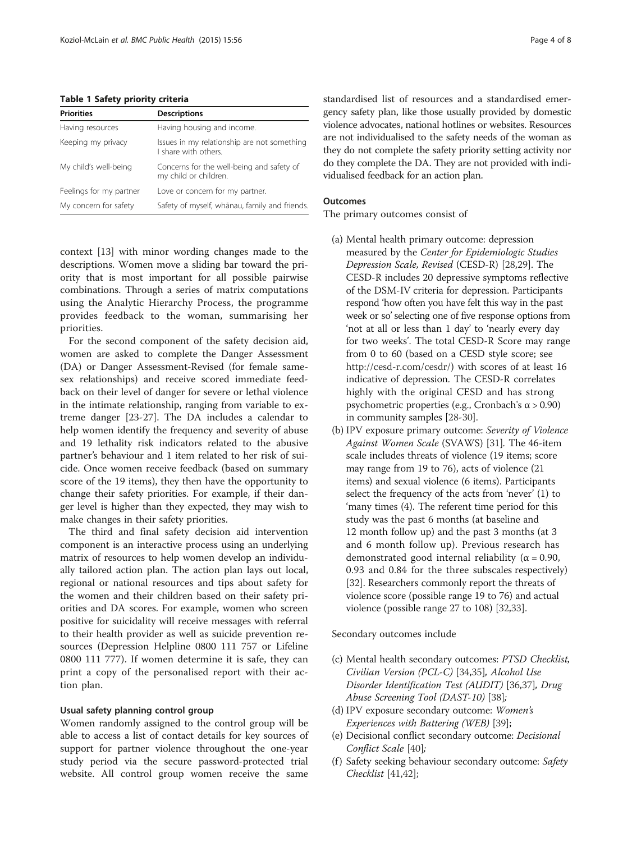#### <span id="page-3-0"></span>Table 1 Safety priority criteria

| <b>Priorities</b>       | <b>Descriptions</b>                                                |
|-------------------------|--------------------------------------------------------------------|
| Having resources        | Having housing and income.                                         |
| Keeping my privacy      | Issues in my relationship are not something<br>I share with others |
| My child's well-being   | Concerns for the well-being and safety of<br>my child or children. |
| Feelings for my partner | Love or concern for my partner.                                    |
| My concern for safety   | Safety of myself, whānau, family and friends.                      |

context [[13\]](#page-6-0) with minor wording changes made to the descriptions. Women move a sliding bar toward the priority that is most important for all possible pairwise combinations. Through a series of matrix computations using the Analytic Hierarchy Process, the programme provides feedback to the woman, summarising her priorities.

For the second component of the safety decision aid, women are asked to complete the Danger Assessment (DA) or Danger Assessment-Revised (for female samesex relationships) and receive scored immediate feedback on their level of danger for severe or lethal violence in the intimate relationship, ranging from variable to extreme danger [\[23](#page-6-0)-[27\]](#page-6-0). The DA includes a calendar to help women identify the frequency and severity of abuse and 19 lethality risk indicators related to the abusive partner's behaviour and 1 item related to her risk of suicide. Once women receive feedback (based on summary score of the 19 items), they then have the opportunity to change their safety priorities. For example, if their danger level is higher than they expected, they may wish to make changes in their safety priorities.

The third and final safety decision aid intervention component is an interactive process using an underlying matrix of resources to help women develop an individually tailored action plan. The action plan lays out local, regional or national resources and tips about safety for the women and their children based on their safety priorities and DA scores. For example, women who screen positive for suicidality will receive messages with referral to their health provider as well as suicide prevention resources (Depression Helpline 0800 111 757 or Lifeline 0800 111 777). If women determine it is safe, they can print a copy of the personalised report with their action plan.

#### Usual safety planning control group

Women randomly assigned to the control group will be able to access a list of contact details for key sources of support for partner violence throughout the one-year study period via the secure password-protected trial website. All control group women receive the same

standardised list of resources and a standardised emergency safety plan, like those usually provided by domestic violence advocates, national hotlines or websites. Resources are not individualised to the safety needs of the woman as they do not complete the safety priority setting activity nor do they complete the DA. They are not provided with individualised feedback for an action plan.

#### **Outcomes**

The primary outcomes consist of

- (a) Mental health primary outcome: depression measured by the Center for Epidemiologic Studies Depression Scale, Revised (CESD-R) [\[28,29\]](#page-6-0). The CESD-R includes 20 depressive symptoms reflective of the DSM-IV criteria for depression. Participants respond 'how often you have felt this way in the past week or so' selecting one of five response options from 'not at all or less than 1 day' to 'nearly every day for two weeks'. The total CESD-R Score may range from 0 to 60 (based on a CESD style score; see [http://cesd-r.com/cesdr/\)](http://cesd-r.com/cesdr/) with scores of at least 16 indicative of depression. The CESD-R correlates highly with the original CESD and has strong psychometric properties (e.g., Cronbach's α > 0.90) in community samples [[28](#page-6-0)-[30](#page-6-0)].
- (b) IPV exposure primary outcome: Severity of Violence Against Women Scale (SVAWS) [[31](#page-6-0)]. The 46-item scale includes threats of violence (19 items; score may range from 19 to 76), acts of violence (21 items) and sexual violence (6 items). Participants select the frequency of the acts from 'never' (1) to 'many times (4). The referent time period for this study was the past 6 months (at baseline and 12 month follow up) and the past 3 months (at 3 and 6 month follow up). Previous research has demonstrated good internal reliability (α = 0.90, 0.93 and 0.84 for the three subscales respectively) [\[32](#page-6-0)]. Researchers commonly report the threats of violence score (possible range 19 to 76) and actual violence (possible range 27 to 108) [\[32,33\]](#page-6-0).

Secondary outcomes include

- (c) Mental health secondary outcomes: PTSD Checklist, Civilian Version (PCL-C) [\[34,35](#page-6-0)], Alcohol Use Disorder Identification Test (AUDIT) [\[36,37\]](#page-6-0), Drug Abuse Screening Tool (DAST-10) [\[38\]](#page-6-0);
- (d) IPV exposure secondary outcome: Women's Experiences with Battering (WEB) [\[39\]](#page-6-0);
- (e) Decisional conflict secondary outcome: Decisional Conflict Scale [[40](#page-6-0)];
- (f) Safety seeking behaviour secondary outcome: Safety Checklist [\[41,42](#page-6-0)];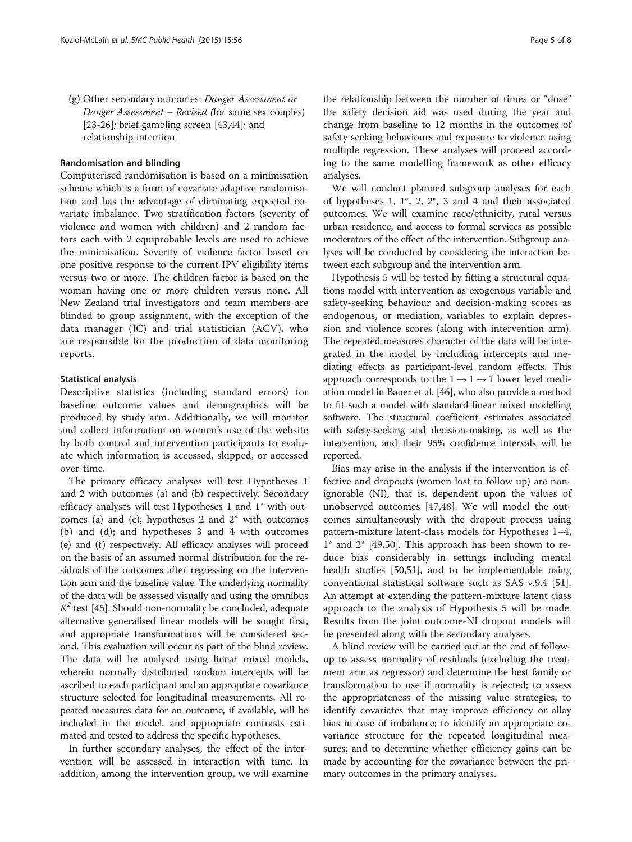(g) Other secondary outcomes: Danger Assessment or Danger Assessment – Revised (for same sex couples) [\[23](#page-6-0)-[26](#page-6-0)]; brief gambling screen [\[43,44](#page-6-0)]; and relationship intention.

#### Randomisation and blinding

Computerised randomisation is based on a minimisation scheme which is a form of covariate adaptive randomisation and has the advantage of eliminating expected covariate imbalance. Two stratification factors (severity of violence and women with children) and 2 random factors each with 2 equiprobable levels are used to achieve the minimisation. Severity of violence factor based on one positive response to the current IPV eligibility items versus two or more. The children factor is based on the woman having one or more children versus none. All New Zealand trial investigators and team members are blinded to group assignment, with the exception of the data manager (JC) and trial statistician (ACV), who are responsible for the production of data monitoring reports.

#### Statistical analysis

Descriptive statistics (including standard errors) for baseline outcome values and demographics will be produced by study arm. Additionally, we will monitor and collect information on women's use of the website by both control and intervention participants to evaluate which information is accessed, skipped, or accessed over time.

The primary efficacy analyses will test Hypotheses 1 and 2 with outcomes (a) and (b) respectively. Secondary efficacy analyses will test Hypotheses 1 and 1\* with outcomes (a) and (c); hypotheses 2 and 2\* with outcomes (b) and (d); and hypotheses 3 and 4 with outcomes (e) and (f) respectively. All efficacy analyses will proceed on the basis of an assumed normal distribution for the residuals of the outcomes after regressing on the intervention arm and the baseline value. The underlying normality of the data will be assessed visually and using the omnibus  $K^2$  test [\[45\]](#page-6-0). Should non-normality be concluded, adequate alternative generalised linear models will be sought first, and appropriate transformations will be considered second. This evaluation will occur as part of the blind review. The data will be analysed using linear mixed models, wherein normally distributed random intercepts will be ascribed to each participant and an appropriate covariance structure selected for longitudinal measurements. All repeated measures data for an outcome, if available, will be included in the model, and appropriate contrasts estimated and tested to address the specific hypotheses.

In further secondary analyses, the effect of the intervention will be assessed in interaction with time. In addition, among the intervention group, we will examine

the relationship between the number of times or "dose" the safety decision aid was used during the year and change from baseline to 12 months in the outcomes of safety seeking behaviours and exposure to violence using multiple regression. These analyses will proceed according to the same modelling framework as other efficacy analyses.

We will conduct planned subgroup analyses for each of hypotheses 1,  $1^*$ , 2,  $2^*$ , 3 and 4 and their associated outcomes. We will examine race/ethnicity, rural versus urban residence, and access to formal services as possible moderators of the effect of the intervention. Subgroup analyses will be conducted by considering the interaction between each subgroup and the intervention arm.

Hypothesis 5 will be tested by fitting a structural equations model with intervention as exogenous variable and safety-seeking behaviour and decision-making scores as endogenous, or mediation, variables to explain depression and violence scores (along with intervention arm). The repeated measures character of the data will be integrated in the model by including intercepts and mediating effects as participant-level random effects. This approach corresponds to the  $1 \rightarrow 1 \rightarrow 1$  lower level mediation model in Bauer et al. [\[46\]](#page-6-0), who also provide a method to fit such a model with standard linear mixed modelling software. The structural coefficient estimates associated with safety-seeking and decision-making, as well as the intervention, and their 95% confidence intervals will be reported.

Bias may arise in the analysis if the intervention is effective and dropouts (women lost to follow up) are nonignorable (NI), that is, dependent upon the values of unobserved outcomes [[47,48\]](#page-6-0). We will model the outcomes simultaneously with the dropout process using pattern-mixture latent-class models for Hypotheses 1–4, 1\* and 2\* [[49,50\]](#page-6-0). This approach has been shown to reduce bias considerably in settings including mental health studies [\[50,51](#page-6-0)], and to be implementable using conventional statistical software such as SAS v.9.4 [\[51](#page-6-0)]. An attempt at extending the pattern-mixture latent class approach to the analysis of Hypothesis 5 will be made. Results from the joint outcome-NI dropout models will be presented along with the secondary analyses.

A blind review will be carried out at the end of followup to assess normality of residuals (excluding the treatment arm as regressor) and determine the best family or transformation to use if normality is rejected; to assess the appropriateness of the missing value strategies; to identify covariates that may improve efficiency or allay bias in case of imbalance; to identify an appropriate covariance structure for the repeated longitudinal measures; and to determine whether efficiency gains can be made by accounting for the covariance between the primary outcomes in the primary analyses.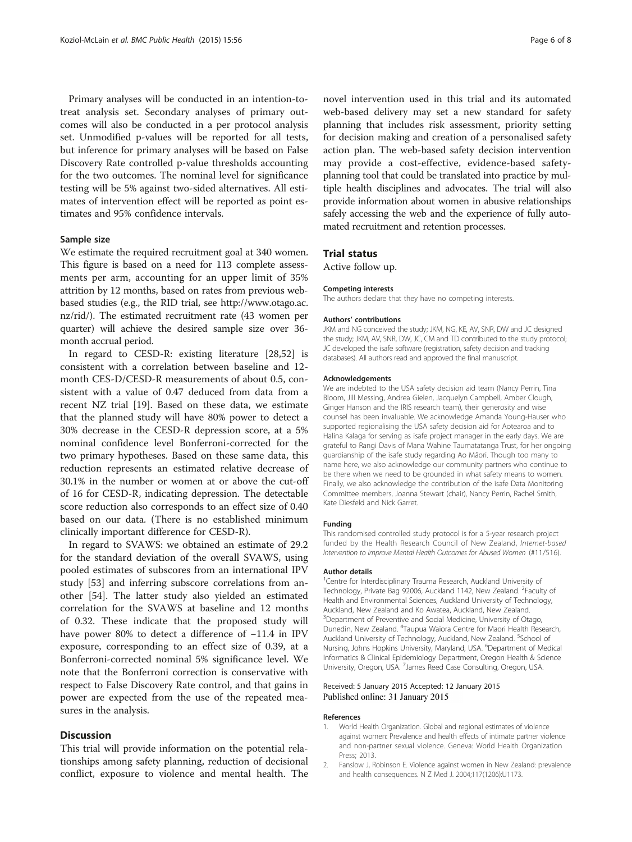<span id="page-5-0"></span>Primary analyses will be conducted in an intention-totreat analysis set. Secondary analyses of primary outcomes will also be conducted in a per protocol analysis set. Unmodified p-values will be reported for all tests, but inference for primary analyses will be based on False Discovery Rate controlled p-value thresholds accounting for the two outcomes. The nominal level for significance testing will be 5% against two-sided alternatives. All estimates of intervention effect will be reported as point estimates and 95% confidence intervals.

# Sample size

We estimate the required recruitment goal at 340 women. This figure is based on a need for 113 complete assessments per arm, accounting for an upper limit of 35% attrition by 12 months, based on rates from previous webbased studies (e.g., the RID trial, see [http://www.otago.ac.](http://www.otago.ac.nz/rid/) [nz/rid/](http://www.otago.ac.nz/rid/)). The estimated recruitment rate (43 women per quarter) will achieve the desired sample size over 36 month accrual period.

In regard to CESD-R: existing literature [\[28,52\]](#page-6-0) is consistent with a correlation between baseline and 12 month CES-D/CESD-R measurements of about 0.5, consistent with a value of 0.47 deduced from data from a recent NZ trial [[19](#page-6-0)]. Based on these data, we estimate that the planned study will have 80% power to detect a 30% decrease in the CESD-R depression score, at a 5% nominal confidence level Bonferroni-corrected for the two primary hypotheses. Based on these same data, this reduction represents an estimated relative decrease of 30.1% in the number or women at or above the cut-off of 16 for CESD-R, indicating depression. The detectable score reduction also corresponds to an effect size of 0.40 based on our data. (There is no established minimum clinically important difference for CESD-R).

In regard to SVAWS: we obtained an estimate of 29.2 for the standard deviation of the overall SVAWS, using pooled estimates of subscores from an international IPV study [[53\]](#page-7-0) and inferring subscore correlations from another [[54](#page-7-0)]. The latter study also yielded an estimated correlation for the SVAWS at baseline and 12 months of 0.32. These indicate that the proposed study will have power 80% to detect a difference of −11.4 in IPV exposure, corresponding to an effect size of 0.39, at a Bonferroni-corrected nominal 5% significance level. We note that the Bonferroni correction is conservative with respect to False Discovery Rate control, and that gains in power are expected from the use of the repeated measures in the analysis.

# **Discussion**

This trial will provide information on the potential relationships among safety planning, reduction of decisional conflict, exposure to violence and mental health. The novel intervention used in this trial and its automated web-based delivery may set a new standard for safety planning that includes risk assessment, priority setting for decision making and creation of a personalised safety action plan. The web-based safety decision intervention may provide a cost-effective, evidence-based safetyplanning tool that could be translated into practice by multiple health disciplines and advocates. The trial will also provide information about women in abusive relationships safely accessing the web and the experience of fully automated recruitment and retention processes.

# Trial status

Active follow up.

#### Competing interests

The authors declare that they have no competing interests.

#### Authors' contributions

JKM and NG conceived the study; JKM, NG, KE, AV, SNR, DW and JC designed the study; JKM, AV, SNR, DW, JC, CM and TD contributed to the study protocol; JC developed the isafe software (registration, safety decision and tracking databases). All authors read and approved the final manuscript.

#### Acknowledgements

We are indebted to the USA safety decision aid team (Nancy Perrin, Tina Bloom, Jill Messing, Andrea Gielen, Jacquelyn Campbell, Amber Clough, Ginger Hanson and the IRIS research team), their generosity and wise counsel has been invaluable. We acknowledge Amanda Young-Hauser who supported regionalising the USA safety decision aid for Aotearoa and to Halina Kalaga for serving as isafe project manager in the early days. We are grateful to Rangi Davis of Mana Wahine Taumatatanga Trust, for her ongoing guardianship of the isafe study regarding Ao Māori. Though too many to name here, we also acknowledge our community partners who continue to be there when we need to be grounded in what safety means to women. Finally, we also acknowledge the contribution of the isafe Data Monitoring Committee members, Joanna Stewart (chair), Nancy Perrin, Rachel Smith, Kate Diesfeld and Nick Garret.

#### Funding

This randomised controlled study protocol is for a 5-year research project funded by the Health Research Council of New Zealand, Internet-based Intervention to Improve Mental Health Outcomes for Abused Women (#11/516).

#### Author details

<sup>1</sup> Centre for Interdisciplinary Trauma Research, Auckland University of Technology, Private Bag 92006, Auckland 1142, New Zealand. <sup>2</sup>Faculty of Health and Environmental Sciences, Auckland University of Technology, Auckland, New Zealand and Ko Awatea, Auckland, New Zealand. <sup>3</sup>Department of Preventive and Social Medicine, University of Otago, Dunedin, New Zealand. <sup>4</sup>Taupua Waiora Centre for Maori Health Research, Auckland University of Technology, Auckland, New Zealand. <sup>5</sup>School of Nursing, Johns Hopkins University, Maryland, USA. <sup>6</sup>Department of Medical Informatics & Clinical Epidemiology Department, Oregon Health & Science University, Oregon, USA.<sup>7</sup> James Reed Case Consulting, Oregon, USA.

#### Received: 5 January 2015 Accepted: 12 January 2015 Published online: 31 January 2015

#### References

- 1. World Health Organization. Global and regional estimates of violence against women: Prevalence and health effects of intimate partner violence and non-partner sexual violence. Geneva: World Health Organization Press; 2013.
- 2. Fanslow J, Robinson E. Violence against women in New Zealand: prevalence and health consequences. N Z Med J. 2004;117(1206):U1173.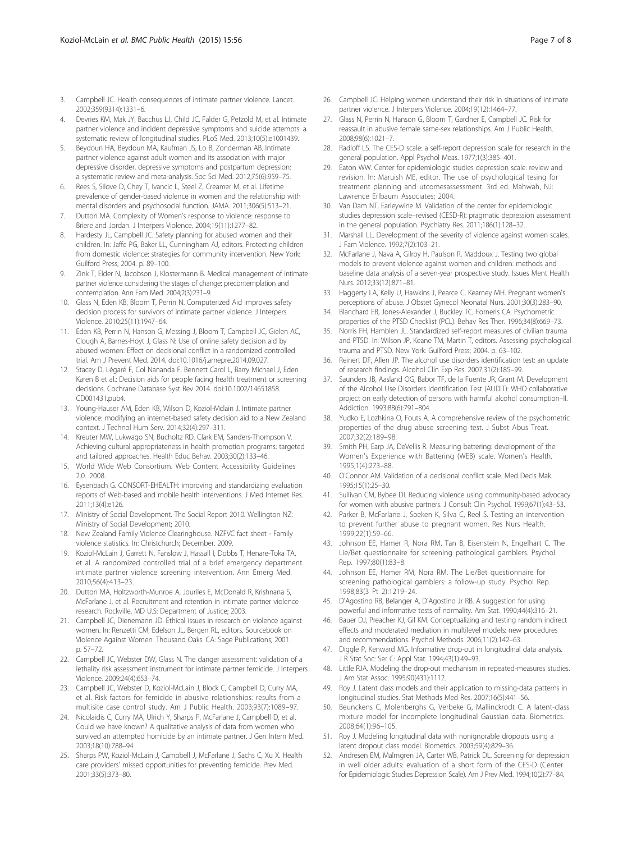- <span id="page-6-0"></span>3. Campbell JC. Health consequences of intimate partner violence. Lancet. 2002;359(9314):1331–6.
- 4. Devries KM, Mak JY, Bacchus LJ, Child JC, Falder G, Petzold M, et al. Intimate partner violence and incident depressive symptoms and suicide attempts: a systematic review of longitudinal studies. PLoS Med. 2013;10(5):e1001439.
- Beydoun HA, Beydoun MA, Kaufman JS, Lo B, Zonderman AB. Intimate partner violence against adult women and its association with major depressive disorder, depressive symptoms and postpartum depression: a systematic review and meta-analysis. Soc Sci Med. 2012;75(6):959–75.
- Rees S, Silove D, Chey T, Ivancic L, Steel Z, Creamer M, et al. Lifetime prevalence of gender-based violence in women and the relationship with mental disorders and psychosocial function. JAMA. 2011;306(5):513–21.
- 7. Dutton MA. Complexity of Women's response to violence: response to Briere and Jordan. J Interpers Violence. 2004;19(11):1277–82.
- 8. Hardesty JL, Campbell JC. Safety planning for abused women and their children. In: Jaffe PG, Baker LL, Cunningham AJ, editors. Protecting children from domestic violence: strategies for community intervention. New York: Guilford Press; 2004. p. 89–100.
- 9. Zink T, Elder N, Jacobson J, Klostermann B. Medical management of intimate partner violence considering the stages of change: precontemplation and contemplation. Ann Fam Med. 2004;2(3):231–9.
- 10. Glass N, Eden KB, Bloom T, Perrin N. Computerized Aid improves safety decision process for survivors of intimate partner violence. J Interpers Violence. 2010;25(11):1947–64.
- 11. Eden KB, Perrin N, Hanson G, Messing J, Bloom T, Campbell JC, Gielen AC, Clough A, Barnes-Hoyt J, Glass N: Use of online safety decision aid by abused women: Effect on decisional conflict in a randomized controlled trial. Am J Prevent Med. 2014. doi:10.1016/j.amepre.2014.09.027.
- 12. Stacey D, Légaré F, Col Nananda F, Bennett Carol L, Barry Michael J, Eden Karen B et al.: Decision aids for people facing health treatment or screening decisions. Cochrane Database Syst Rev 2014. doi:10.1002/14651858. CD001431.pub4.
- 13. Young-Hauser AM, Eden KB, Wilson D, Koziol-Mclain J. Intimate partner violence: modifying an internet-based safety decision aid to a New Zealand context. J Technol Hum Serv. 2014;32(4):297–311.
- 14. Kreuter MW, Lukwago SN, Bucholtz RD, Clark EM, Sanders-Thompson V. Achieving cultural appropriateness in health promotion programs: targeted and tailored approaches. Health Educ Behav. 2003;30(2):133–46.
- 15. World Wide Web Consortium. Web Content Accessibility Guidelines 2.0. 2008.
- 16. Eysenbach G. CONSORT-EHEALTH: improving and standardizing evaluation reports of Web-based and mobile health interventions. J Med Internet Res. 2011;13(4):e126.
- 17. Ministry of Social Development. The Social Report 2010. Wellington NZ: Ministry of Social Development; 2010.
- 18. New Zealand Family Violence Clearinghouse. NZFVC fact sheet Family violence statistics. In: Christchurch; December. 2009.
- 19. Koziol-McLain J, Garrett N, Fanslow J, Hassall I, Dobbs T, Henare-Toka TA, et al. A randomized controlled trial of a brief emergency department intimate partner violence screening intervention. Ann Emerg Med. 2010;56(4):413–23.
- 20. Dutton MA, Holtzworth-Munroe A, Jouriles E, McDonald R, Krishnana S, McFarlane J, et al. Recruitment and retention in intimate partner violence research. Rockville, MD U.S: Department of Justice; 2003.
- 21. Campbell JC, Dienemann JD. Ethical issues in research on violence against women. In: Renzetti CM, Edelson JL, Bergen RL, editors. Sourcebook on Violence Against Women. Thousand Oaks: CA: Sage Publications; 2001. p. 57–72.
- 22. Campbell JC, Webster DW, Glass N. The danger assessment: validation of a lethality risk assessment instrument for intimate partner femicide. J Interpers Violence. 2009;24(4):653–74.
- 23. Campbell JC, Webster D, Koziol-McLain J, Block C, Campbell D, Curry MA, et al. Risk factors for femicide in abusive relationships: results from a multisite case control study. Am J Public Health. 2003;93(7):1089–97.
- 24. Nicolaidis C, Curry MA, Ulrich Y, Sharps P, McFarlane J, Campbell D, et al. Could we have known? A qualitative analysis of data from women who survived an attempted homicide by an intimate partner. J Gen Intern Med. 2003;18(10):788–94.
- 25. Sharps PW, Koziol-McLain J, Campbell J, McFarlane J, Sachs C, Xu X. Health care providers' missed opportunities for preventing femicide. Prev Med. 2001;33(5):373–80.
- 26. Campbell JC. Helping women understand their risk in situations of intimate partner violence. J Interpers Violence. 2004;19(12):1464–77.
- 27. Glass N, Perrin N, Hanson G, Bloom T, Gardner E, Campbell JC, Risk for reassault in abusive female same-sex relationships. Am J Public Health. 2008;98(6):1021–7.
- 28. Radloff LS. The CES-D scale: a self-report depression scale for research in the general population. Appl Psychol Meas. 1977;1(3):385–401.
- 29. Eaton WW. Center for epidemiologic studies depression scale: review and revision. In: Maruish ME, editor. The use of psychological tesing for treatment planning and utcomesassessment. 3rd ed. Mahwah, NJ: Lawrence Erlbaum Associates; 2004.
- 30. Van Dam NT, Earleywine M. Validation of the center for epidemiologic studies depression scale–revised (CESD-R): pragmatic depression assessment in the general population. Psychiatry Res. 2011;186(1):128–32.
- 31. Marshall LL. Development of the severity of violence against women scales. J Fam Violence. 1992;7(2):103–21.
- 32. McFarlane J, Nava A, Gilroy H, Paulson R, Maddoux J. Testing two global models to prevent violence against women and children: methods and baseline data analysis of a seven-year prospective study. Issues Ment Health Nurs. 2012;33(12):871–81.
- 33. Haggerty LA, Kelly U, Hawkins J, Pearce C, Kearney MH. Pregnant women's perceptions of abuse. J Obstet Gynecol Neonatal Nurs. 2001;30(3):283–90.
- 34. Blanchard EB, Jones-Alexander J, Buckley TC, Forneris CA. Psychometric properties of the PTSD Checklist (PCL). Behav Res Ther. 1996;34(8):669–73.
- 35. Norris FH, Hamblen JL. Standardized self-report measures of civilian trauma and PTSD. In: Wilson JP, Keane TM, Martin T, editors. Assessing psychological trauma and PTSD. New York: Guilford Press; 2004. p. 63–102.
- 36. Reinert DF, Allen JP. The alcohol use disorders identification test: an update of research findings. Alcohol Clin Exp Res. 2007;31(2):185–99.
- 37. Saunders JB, Aasland OG, Babor TF, de la Fuente JR, Grant M. Development of the Alcohol Use Disorders Identification Test (AUDIT): WHO collaborative project on early detection of persons with harmful alcohol consumption–II. Addiction. 1993;88(6):791–804.
- 38. Yudko E, Lozhkina O, Fouts A. A comprehensive review of the psychometric properties of the drug abuse screening test. J Subst Abus Treat. 2007;32(2):189–98.
- 39. Smith PH, Earp JA, DeVellis R. Measuring battering: development of the Women's Experience with Battering (WEB) scale. Women's Health. 1995;1(4):273–88.
- 40. O'Connor AM. Validation of a decisional conflict scale. Med Decis Mak. 1995;15(1):25–30.
- 41. Sullivan CM, Bybee DI. Reducing violence using community-based advocacy for women with abusive partners. J Consult Clin Psychol. 1999;67(1):43–53.
- 42. Parker B, McFarlane J, Soeken K, Silva C, Reel S. Testing an intervention to prevent further abuse to pregnant women. Res Nurs Health. 1999;22(1):59–66.
- 43. Johnson EE, Hamer R, Nora RM, Tan B, Eisenstein N, Engelhart C. The Lie/Bet questionnaire for screening pathological gamblers. Psychol Rep. 1997;80(1):83–8.
- 44. Johnson EE, Hamer RM, Nora RM. The Lie/Bet questionnaire for screening pathological gamblers: a follow-up study. Psychol Rep. 1998;83(3 Pt 2):1219–24.
- 45. D'Agostino RB, Belanger A, D'Agostino Jr RB. A suggestion for using powerful and informative tests of normality. Am Stat. 1990;44(4):316–21.
- 46. Bauer DJ, Preacher KJ, Gil KM. Conceptualizing and testing random indirect effects and moderated mediation in multilevel models: new procedures and recommendations. Psychol Methods. 2006;11(2):142–63.
- 47. Diggle P, Kenward MG. Informative drop-out in longitudinal data analysis. J R Stat Soc: Ser C: Appl Stat. 1994;43(1):49–93.
- 48. Little RJA. Modeling the drop-out mechanism in repeated-measures studies. J Am Stat Assoc. 1995;90(431):1112.
- 49. Roy J. Latent class models and their application to missing-data patterns in longitudinal studies. Stat Methods Med Res. 2007;16(5):441–56.
- 50. Beunckens C, Molenberghs G, Verbeke G, Mallinckrodt C. A latent-class mixture model for incomplete longitudinal Gaussian data. Biometrics. 2008;64(1):96–105.
- 51. Roy J. Modeling longitudinal data with nonignorable dropouts using a latent dropout class model. Biometrics. 2003;59(4):829–36.
- 52. Andresen EM, Malmgren JA, Carter WB, Patrick DL. Screening for depression in well older adults: evaluation of a short form of the CES-D (Center for Epidemiologic Studies Depression Scale). Am J Prev Med. 1994;10(2):77–84.